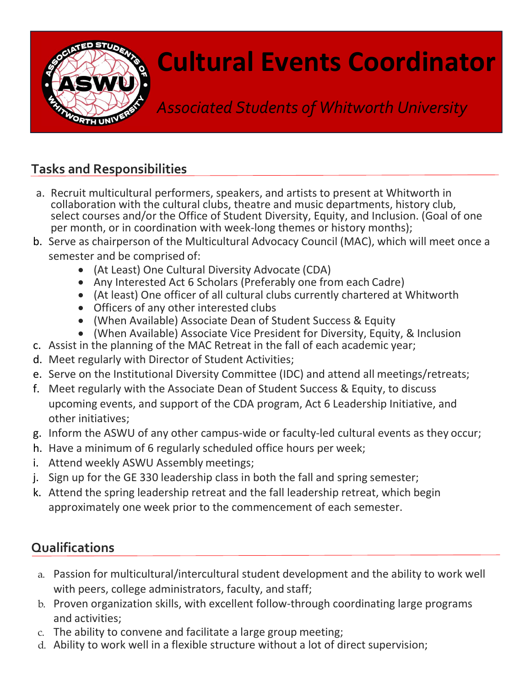

## Cultural Events Coordinator

Associated Students of Whitworth University

## Tasks and Responsibilities

- a. Recruit multicultural performers, speakers, and artists to present at Whitworth in collaboration with the cultural clubs, theatre and music departments, history club, select courses and/or the Office of Student Diversity, Equity, and Inclusion. (Goal of one per month, or in coordination with week-long themes or history months);
- b. Serve as chairperson of the Multicultural Advocacy Council (MAC), which will meet once a semester and be comprised of:
	- (At Least) One Cultural Diversity Advocate (CDA)
	- Any Interested Act 6 Scholars (Preferably one from each Cadre)
	- (At least) One officer of all cultural clubs currently chartered at Whitworth
	- Officers of any other interested clubs
	- (When Available) Associate Dean of Student Success & Equity
	- (When Available) Associate Vice President for Diversity, Equity, & Inclusion
- c. Assist in the planning of the MAC Retreat in the fall of each academic year;
- d. Meet regularly with Director of Student Activities;
- e. Serve on the Institutional Diversity Committee (IDC) and attend all meetings/retreats;
- f. Meet regularly with the Associate Dean of Student Success & Equity, to discuss upcoming events, and support of the CDA program, Act 6 Leadership Initiative, and other initiatives;
- g. Inform the ASWU of any other campus-wide or faculty-led cultural events as they occur;
- h. Have a minimum of 6 regularly scheduled office hours per week;
- i. Attend weekly ASWU Assembly meetings;
- j. Sign up for the GE 330 leadership class in both the fall and spring semester;
- k. Attend the spring leadership retreat and the fall leadership retreat, which begin approximately one week prior to the commencement of each semester.

## Qualifications

- a. Passion for multicultural/intercultural student development and the ability to work well with peers, college administrators, faculty, and staff;
- b. Proven organization skills, with excellent follow-through coordinating large programs and activities;
- c. The ability to convene and facilitate a large group meeting;
- d. Ability to work well in a flexible structure without a lot of direct supervision;